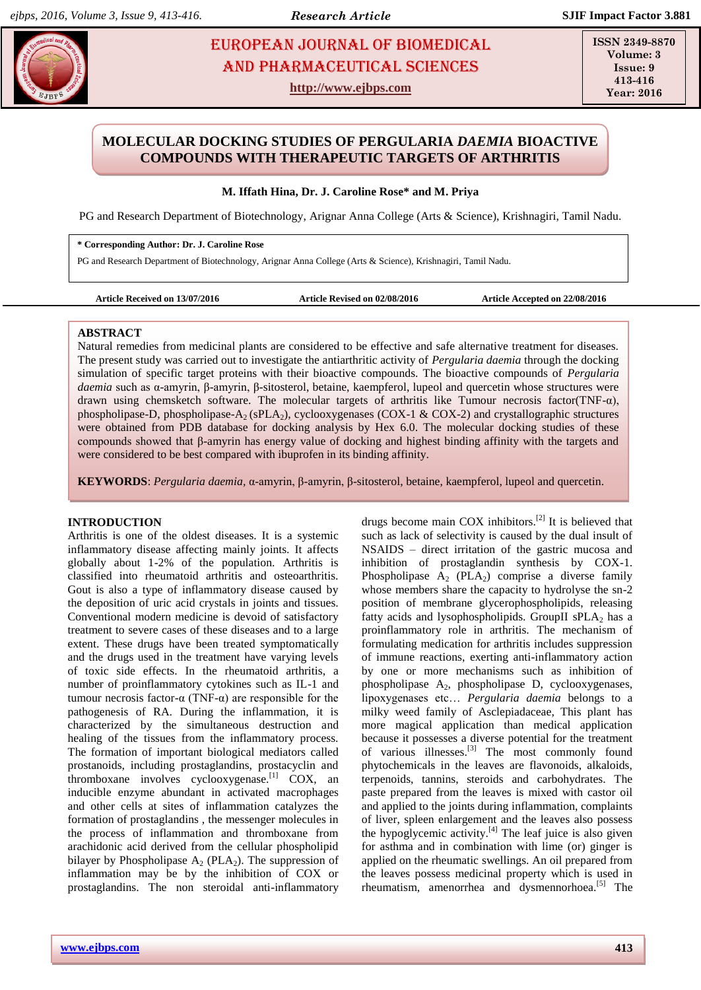# **ROSE EUROPEAN JOURNAL OF BIOMEDICAL AND RESS 234** AND Pharmaceutical sciences

**http://www.ejbps.com**

**ISSN 2349-8870 Volume: 3 Issue: 9 413-416 Year: 2016**

## **MOLECULAR DOCKING STUDIES OF PERGULARIA** *DAEMIA* **BIOACTIVE COMPOUNDS WITH THERAPEUTIC TARGETS OF ARTHRITIS**

**M. Iffath Hina, Dr. J. Caroline Rose\* and M. Priya**

PG and Research Department of Biotechnology, Arignar Anna College (Arts & Science), Krishnagiri, Tamil Nadu.

**\* Corresponding Author: Dr. J. Caroline Rose**

PG and Research Department of Biotechnology, Arignar Anna College (Arts & Science), Krishnagiri, Tamil Nadu.

```
Article Received on 13/07/2016 Article Revised on 02/08/2016 Article Accepted on 22/08/2016
```
## **ABSTRACT**

Natural remedies from medicinal plants are considered to be effective and safe alternative treatment for diseases. The present study was carried out to investigate the antiarthritic activity of *Pergularia daemia* through the docking simulation of specific target proteins with their bioactive compounds. The bioactive compounds of *Pergularia daemia* such as α-amyrin, β-amyrin, β-sitosterol, betaine, kaempferol, lupeol and quercetin whose structures were drawn using chemsketch software. The molecular targets of arthritis like Tumour necrosis factor(TNF-α), phospholipase-D, phospholipase-A<sub>2</sub> (sPLA<sub>2</sub>), cyclooxygenases (COX-1 & COX-2) and crystallographic structures were obtained from PDB database for docking analysis by Hex 6.0. The molecular docking studies of these compounds showed that β-amyrin has energy value of docking and highest binding affinity with the targets and were considered to be best compared with ibuprofen in its binding affinity.

**KEYWORDS**: *Pergularia daemia,* α-amyrin, β-amyrin, β-sitosterol, betaine, kaempferol, lupeol and quercetin.

## **INTRODUCTION**

Arthritis is one of the oldest diseases. It is a systemic inflammatory disease affecting mainly joints. It affects globally about 1-2% of the population. Arthritis is classified into rheumatoid arthritis and osteoarthritis. Gout is also a type of inflammatory disease caused by the deposition of uric acid crystals in joints and tissues. Conventional modern medicine is devoid of satisfactory treatment to severe cases of these diseases and to a large extent. These drugs have been treated symptomatically and the drugs used in the treatment have varying levels of toxic side effects. In the rheumatoid arthritis, a number of proinflammatory cytokines such as IL-1 and tumour necrosis factor-α (TNF-α) are responsible for the pathogenesis of RA. During the inflammation, it is characterized by the simultaneous destruction and healing of the tissues from the inflammatory process. The formation of important biological mediators called prostanoids, including prostaglandins, prostacyclin and thromboxane involves cyclooxygenase.<sup>[1]</sup> COX, an inducible enzyme abundant in activated macrophages and other cells at sites of inflammation catalyzes the formation of prostaglandins , the messenger molecules in the process of inflammation and thromboxane from arachidonic acid derived from the cellular phospholipid bilayer by Phospholipase  $A_2$  (PLA<sub>2</sub>). The suppression of inflammation may be by the inhibition of COX or prostaglandins. The non steroidal anti-inflammatory drugs become main COX inhibitors.[2] It is believed that such as lack of selectivity is caused by the dual insult of NSAIDS – direct irritation of the gastric mucosa and inhibition of prostaglandin synthesis by COX-1. Phospholipase  $A_2$  (PLA<sub>2</sub>) comprise a diverse family whose members share the capacity to hydrolyse the sn-2 position of membrane glycerophospholipids, releasing fatty acids and lysophospholipids. GroupII sPLA $_2$  has a proinflammatory role in arthritis. The mechanism of formulating medication for arthritis includes suppression of immune reactions, exerting anti-inflammatory action by one or more mechanisms such as inhibition of phospholipase  $A_2$ , phospholipase D, cyclooxygenases, lipoxygenases etc… *Pergularia daemia* belongs to a milky weed family of Asclepiadaceae, This plant has more magical application than medical application because it possesses a diverse potential for the treatment of various illnesses.[3] The most commonly found phytochemicals in the leaves are flavonoids, alkaloids, terpenoids, tannins, steroids and carbohydrates. The paste prepared from the leaves is mixed with castor oil and applied to the joints during inflammation, complaints of liver, spleen enlargement and the leaves also possess the hypoglycemic activity. $[4]$  The leaf juice is also given for asthma and in combination with lime (or) ginger is applied on the rheumatic swellings. An oil prepared from the leaves possess medicinal property which is used in rheumatism, amenorrhea and dysmennorhoea. $^{[5]}$  The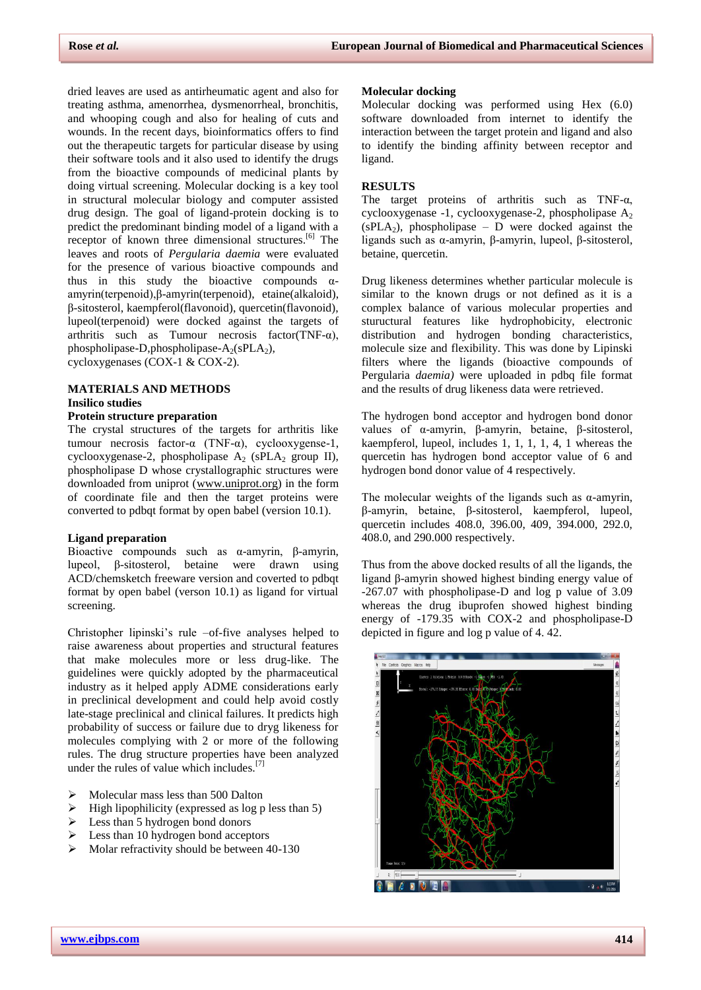dried leaves are used as antirheumatic agent and also for treating asthma, amenorrhea, dysmenorrheal, bronchitis, and whooping cough and also for healing of cuts and wounds. In the recent days, bioinformatics offers to find out the therapeutic targets for particular disease by using their software tools and it also used to identify the drugs from the bioactive compounds of medicinal plants by doing virtual screening. Molecular docking is a key tool in structural molecular biology and computer assisted drug design. The goal of ligand-protein docking is to predict the predominant binding model of a ligand with a receptor of known three dimensional structures.<sup>[6]</sup> The leaves and roots of *Pergularia daemia* were evaluated for the presence of various bioactive compounds and thus in this study the bioactive compounds  $\alpha$ amyrin(terpenoid),β-amyrin(terpenoid), etaine(alkaloid), β-sitosterol, kaempferol(flavonoid), quercetin(flavonoid), lupeol(terpenoid) were docked against the targets of arthritis such as Tumour necrosis factor(TNF- $\alpha$ ), phospholipase-D,phospholipase- $A_2(sPLA_2)$ ,

cycloxygenases (COX-1 & COX-2).

## **MATERIALS AND METHODS Insilico studies**

## **Protein structure preparation**

The crystal structures of the targets for arthritis like tumour necrosis factor-α (TNF-α), cyclooxygense-1, cyclooxygenase-2, phospholipase  $A_2$  (sPLA<sub>2</sub> group II), phospholipase D whose crystallographic structures were downloaded from uniprot [\(www.uniprot.org\)](http://www.uniprot.org/) in the form of coordinate file and then the target proteins were converted to pdbqt format by open babel (version 10.1).

## **Ligand preparation**

Bioactive compounds such as α-amyrin, β-amyrin, lupeol, β-sitosterol, betaine were drawn using ACD/chemsketch freeware version and coverted to pdbqt format by open babel (verson 10.1) as ligand for virtual screening.

Christopher lipinski's rule –of-five analyses helped to raise awareness about properties and structural features that make molecules more or less drug-like. The guidelines were quickly adopted by the pharmaceutical industry as it helped apply ADME considerations early in preclinical development and could help avoid costly late-stage preclinical and clinical failures. It predicts high probability of success or failure due to dryg likeness for molecules complying with 2 or more of the following rules. The drug structure properties have been analyzed under the rules of value which includes.[7]

- Molecular mass less than 500 Dalton
- $\triangleright$  High lipophilicity (expressed as log p less than 5)
- $\triangleright$  Less than 5 hydrogen bond donors
- $\triangleright$  Less than 10 hydrogen bond acceptors
- $\blacktriangleright$  Molar refractivity should be between 40-130

#### **Molecular docking**

Molecular docking was performed using Hex (6.0) software downloaded from internet to identify the interaction between the target protein and ligand and also to identify the binding affinity between receptor and ligand.

## **RESULTS**

The target proteins of arthritis such as TNF- $\alpha$ , cyclooxygenase -1, cyclooxygenase-2, phospholipase  $A_2$  $(sPLA<sub>2</sub>)$ , phospholipase – D were docked against the ligands such as α-amyrin, β-amyrin, lupeol, β-sitosterol, betaine, quercetin.

Drug likeness determines whether particular molecule is similar to the known drugs or not defined as it is a complex balance of various molecular properties and stuructural features like hydrophobicity, electronic distribution and hydrogen bonding characteristics, molecule size and flexibility. This was done by Lipinski filters where the ligands (bioactive compounds of Pergularia *daemia)* were uploaded in pdbq file format and the results of drug likeness data were retrieved.

The hydrogen bond acceptor and hydrogen bond donor values of α-amyrin, β-amyrin, betaine, β-sitosterol, kaempferol, lupeol, includes 1, 1, 1, 1, 4, 1 whereas the quercetin has hydrogen bond acceptor value of 6 and hydrogen bond donor value of 4 respectively.

The molecular weights of the ligands such as  $\alpha$ -amyrin, β-amyrin, betaine, β-sitosterol, kaempferol, lupeol, quercetin includes 408.0, 396.00, 409, 394.000, 292.0, 408.0, and 290.000 respectively.

Thus from the above docked results of all the ligands, the ligand β-amyrin showed highest binding energy value of -267.07 with phospholipase-D and log p value of 3.09 whereas the drug ibuprofen showed highest binding energy of -179.35 with COX-2 and phospholipase-D depicted in figure and log p value of 4. 42.

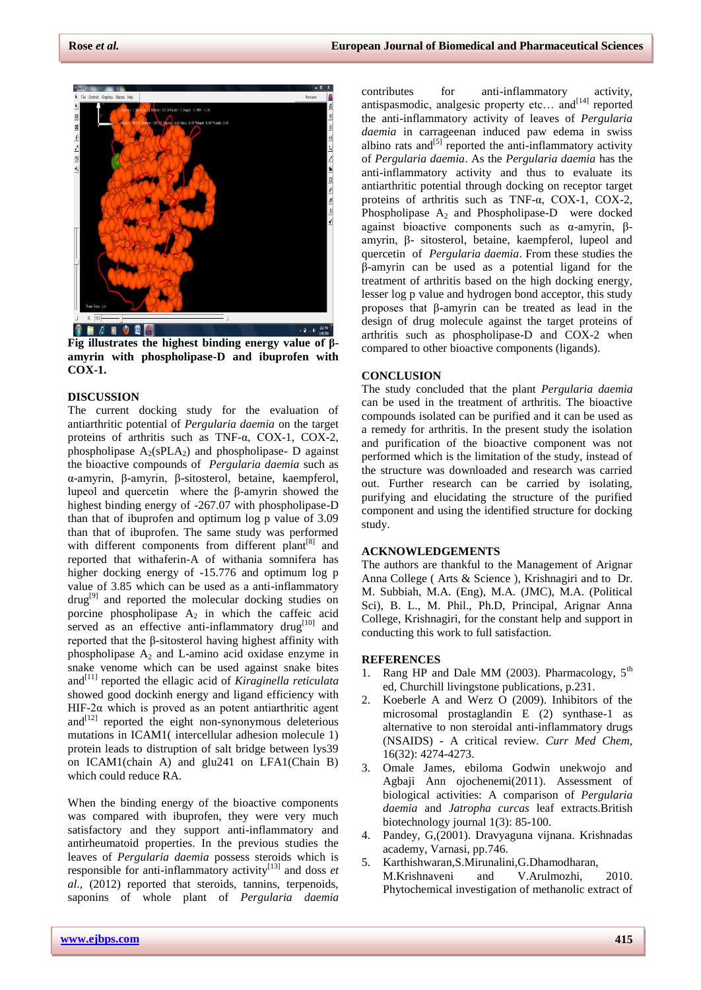

**Fig illustrates the highest binding energy value of βamyrin with phospholipase-D and ibuprofen with COX-1.**

## **DISCUSSION**

The current docking study for the evaluation of antiarthritic potential of *Pergularia daemia* on the target proteins of arthritis such as TNF-α, COX-1, COX-2, phospholipase  $A_2(sPLA_2)$  and phospholipase- D against the bioactive compounds of *Pergularia daemia* such as α-amyrin, β-amyrin, β-sitosterol, betaine, kaempferol, lupeol and quercetin where the β-amyrin showed the highest binding energy of -267.07 with phospholipase-D than that of ibuprofen and optimum log p value of 3.09 than that of ibuprofen. The same study was performed with different components from different plant<sup>[8]</sup> and reported that withaferin-A of withania somnifera has higher docking energy of -15.776 and optimum log p value of 3.85 which can be used as a anti-inflammatory  $d\text{rug}^{[9]}$  and reported the molecular docking studies on porcine phospholipase  $A_2$  in which the caffeic acid served as an effective anti-inflammatory drug<sup>[10]</sup> and reported that the β-sitosterol having highest affinity with phospholipase  $A_2$  and L-amino acid oxidase enzyme in snake venome which can be used against snake bites and<sup>[11]</sup> reported the ellagic acid of *Kiraginella reticulata* showed good dockinh energy and ligand efficiency with HIF-2 $\alpha$  which is proved as an potent antiarthritic agent and $[12]$  reported the eight non-synonymous deleterious mutations in ICAM1( intercellular adhesion molecule 1) protein leads to distruption of salt bridge between lys39 on ICAM1(chain A) and glu241 on LFA1(Chain B) which could reduce RA.

When the binding energy of the bioactive components was compared with ibuprofen, they were very much satisfactory and they support anti-inflammatory and antirheumatoid properties. In the previous studies the leaves of *Pergularia daemia* possess steroids which is responsible for anti-inflammatory activity<sup>[13]</sup> and doss  $et$ *al.,* (2012) reported that steroids, tannins, terpenoids, saponins of whole plant of *Pergularia daemia*

contributes for anti-inflammatory activity, antispasmodic, analgesic property etc... and<sup>[14]</sup> reported the anti-inflammatory activity of leaves of *Pergularia daemia* in carrageenan induced paw edema in swiss albino rats and  $[5]$  reported the anti-inflammatory activity of *Pergularia daemia*. As the *Pergularia daemia* has the anti-inflammatory activity and thus to evaluate its antiarthritic potential through docking on receptor target proteins of arthritis such as TNF-α, COX-1, COX-2, Phospholipase  $A_2$  and Phospholipase-D were docked against bioactive components such as α-amyrin, βamyrin, β- sitosterol, betaine, kaempferol, lupeol and quercetin of *Pergularia daemia*. From these studies the β-amyrin can be used as a potential ligand for the treatment of arthritis based on the high docking energy, lesser log p value and hydrogen bond acceptor, this study proposes that β-amyrin can be treated as lead in the design of drug molecule against the target proteins of arthritis such as phospholipase-D and COX-2 when compared to other bioactive components (ligands).

#### **CONCLUSION**

The study concluded that the plant *Pergularia daemia* can be used in the treatment of arthritis. The bioactive compounds isolated can be purified and it can be used as a remedy for arthritis. In the present study the isolation and purification of the bioactive component was not performed which is the limitation of the study, instead of the structure was downloaded and research was carried out. Further research can be carried by isolating, purifying and elucidating the structure of the purified component and using the identified structure for docking study.

## **ACKNOWLEDGEMENTS**

The authors are thankful to the Management of Arignar Anna College ( Arts & Science ), Krishnagiri and to Dr. M. Subbiah, M.A. (Eng), M.A. (JMC), M.A. (Political Sci), B. L., M. Phil., Ph.D, Principal, Arignar Anna College, Krishnagiri, for the constant help and support in conducting this work to full satisfaction.

#### **REFERENCES**

- 1. Rang HP and Dale MM (2003). Pharmacology,  $5<sup>th</sup>$ ed, Churchill livingstone publications, p.231.
- 2. Koeberle A and Werz O (2009). Inhibitors of the microsomal prostaglandin E (2) synthase-1 as alternative to non steroidal anti-inflammatory drugs (NSAIDS) - A critical review. *Curr Med Chem,* 16(32): 4274-4273.
- 3. Omale James, ebiloma Godwin unekwojo and Agbaji Ann ojochenemi(2011). Assessment of biological activities: A comparison of *Pergularia daemia* and *Jatropha curcas* leaf extracts.British biotechnology journal 1(3): 85-100.
- 4. Pandey, G,(2001). Dravyaguna vijnana. Krishnadas academy, Varnasi, pp.746.
- 5. Karthishwaran,S.Mirunalini,G.Dhamodharan, M.Krishnaveni and V.Arulmozhi, 2010. Phytochemical investigation of methanolic extract of